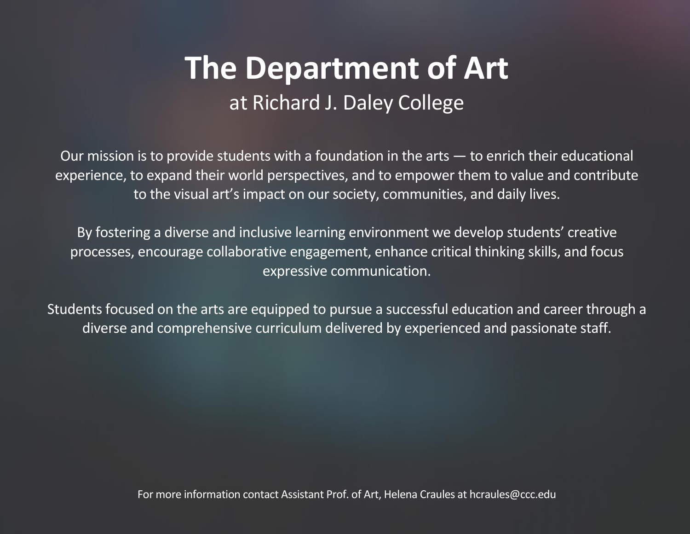## **The Department of Art** at Richard J. Daley College

Our mission is to provide students with a foundation in the arts — to enrich their educational experience, to expand their world perspectives, and to empower them to value and contribute to the visual art's impact on our society, communities, and daily lives.

By fostering a diverse and inclusive learning environment we develop students' creative processes, encourage collaborative engagement, enhance critical thinking skills, and focus expressive communication.

Students focused on the arts are equipped to pursue a successful education and career through a diverse and comprehensive curriculum delivered by experienced and passionate staff.

For more information contact Assistant Prof. of Art, Helena Craules at hcraules@ccc.edu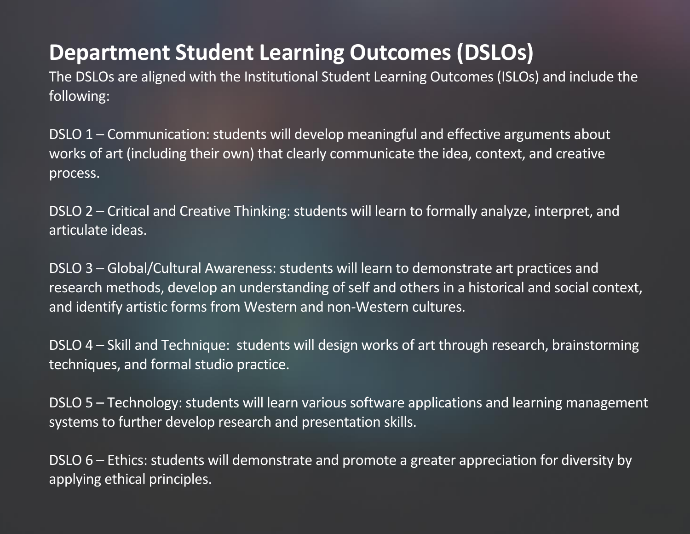## **Department Student Learning Outcomes (DSLOs)**

The DSLOs are aligned with the Institutional Student Learning Outcomes(ISLOs) and include the following:

DSLO 1 – Communication: students will develop meaningful and effective arguments about works of art (including their own) that clearly communicate the idea, context, and creative process.

DSLO 2 – Critical and Creative Thinking: students will learn to formally analyze, interpret, and articulate ideas.

DSLO 3 – Global/Cultural Awareness: students will learn to demonstrate art practices and research methods, develop an understanding of self and others in a historical and social context, and identify artistic forms from Western and non-Western cultures.

DSLO 4 – Skill and Technique: students will design works of art through research, brainstorming techniques, and formal studio practice.

DSLO 5 – Technology: students will learn various software applications and learning management systems to further develop research and presentation skills.

DSLO 6 – Ethics: students will demonstrate and promote a greater appreciation for diversity by applying ethical principles.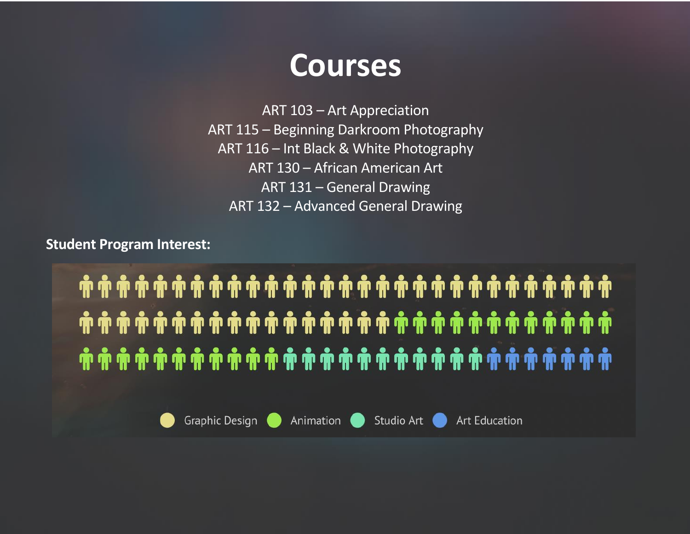

ART 103 – Art Appreciation ART 115 – Beginning Darkroom Photography ART 116 – Int Black & White Photography ART 130 – African American Art ART 131 – General Drawing ART 132 – Advanced General Drawing

**Student Program Interest:**

. ﴿ يَا أَيَّا بِهِ يَا أَيَّا بِهِ يَا أَيَّا بِهِ يَا أَيَّا بِهِ يَا أَيَّا بِهِ يَا أَيَّا بِهِ يَأْ بَهْر . ﴿ يَا إِنَّ اللَّهُ لَهُمْ يَا إِنَّ اللَّهِ لَهُمْ اللَّهُ إِنَّ اللَّهُ اللَّهُ إِنَّ اللَّهُ إِنَّ اللَّه



Animation **O** 

Studio Art

**Art Education**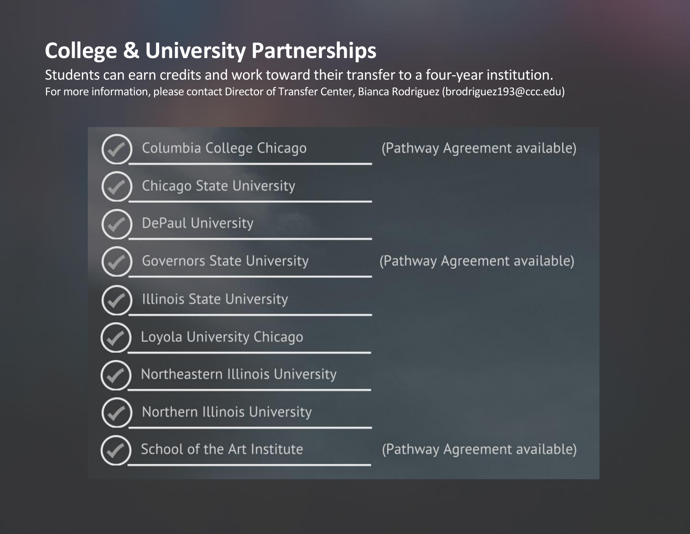## **College & University Partnerships**

Students can earn credits and work toward their transfer to a four-year institution. For more information, please contact Director of Transfer Center, Bianca Rodriguez(brodriguez193@ccc.edu)